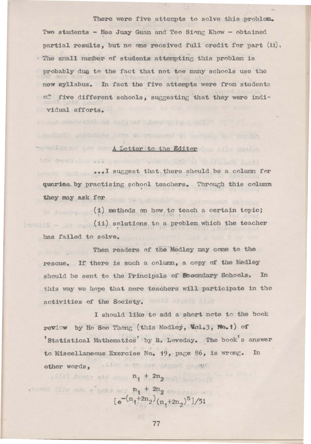There were five attempts to solve this problem. Two students - Hee Juay Guan and Teo Sinng Khow - obtained partial results, but no one received full credit for part (ii). The small number of students attempting this problem is probably due to the fact that not too many schools use the new syllabus. In fact the five attempts were from students of five different schools, suggesting that they were individual efforts.

## TATOMARK THE A Letter to the Editor

when the limit says fill

senderich as beid bei bleve e lang anti-

im compatibility and

sayinell soludets often we property waters and his ne

... I suggest that there should be a column for quaries by practising school teachers. Through this column they may ask for the state of the state of the state of the state of the state of the state of the state of the

(i) methods on how to teach a certain topic; (ii) solutions to a problem which the teacher has failed to solve.

Then readers of the Medley may come to the rescue. If there is such a column, a copy of the Medley should be sent to the Principals of Secondary Schools. In this way we hope that more teachers will participate in the activities of the Society.

I should like to add a short note to the book review by Ho Soo Thong (this Medley, Wol.3, No.1) of Statistical Mathematics by R. Loveday. The book's answer to Miscellaneous Exercise No. 19, page 86, is wrong. In other words. With a go the stress of the

 $\mathbb{E}[\mathbb{P}^n]$  denotes the  $\mathbb{P}_1 + 2\mathbb{P}_2$  and  $\mathbb{P}_2$ 

nome like me s'guid ou,  $\mathbf{n_1} + 2\mathbf{n_2}$  compair and  $[e^{-(n_1+2n_2)}(n_1+2n_2)^5]/5!$